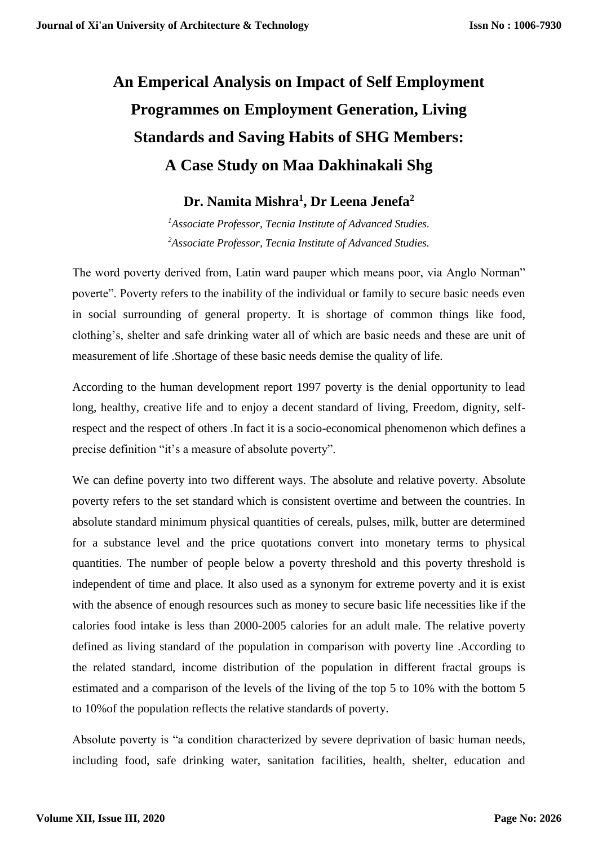# **An Emperical Analysis on Impact of Self Employment Programmes on Employment Generation, Living Standards and Saving Habits of SHG Members: A Case Study on Maa Dakhinakali Shg**

## **Dr. Namita Mishra<sup>1</sup> , Dr Leena Jenefa<sup>2</sup>**

*<sup>1</sup>Associate Professor, Tecnia Institute of Advanced Studies. <sup>2</sup>Associate Professor, Tecnia Institute of Advanced Studies.*

The word poverty derived from, Latin ward pauper which means poor, via Anglo Norman" poverte". Poverty refers to the inability of the individual or family to secure basic needs even in social surrounding of general property. It is shortage of common things like food, clothing's, shelter and safe drinking water all of which are basic needs and these are unit of measurement of life .Shortage of these basic needs demise the quality of life.

According to the human development report 1997 poverty is the denial opportunity to lead long, healthy, creative life and to enjoy a decent standard of living, Freedom, dignity, selfrespect and the respect of others .In fact it is a socio-economical phenomenon which defines a precise definition "it's a measure of absolute poverty".

We can define poverty into two different ways. The absolute and relative poverty. Absolute poverty refers to the set standard which is consistent overtime and between the countries. In absolute standard minimum physical quantities of cereals, pulses, milk, butter are determined for a substance level and the price quotations convert into monetary terms to physical quantities. The number of people below a poverty threshold and this poverty threshold is independent of time and place. It also used as a synonym for extreme poverty and it is exist with the absence of enough resources such as money to secure basic life necessities like if the calories food intake is less than 2000-2005 calories for an adult male. The relative poverty defined as living standard of the population in comparison with poverty line .According to the related standard, income distribution of the population in different fractal groups is estimated and a comparison of the levels of the living of the top 5 to 10% with the bottom 5 to 10%of the population reflects the relative standards of poverty.

Absolute poverty is "a condition characterized by severe deprivation of basic human needs, including food, safe drinking water, sanitation facilities, health, shelter, education and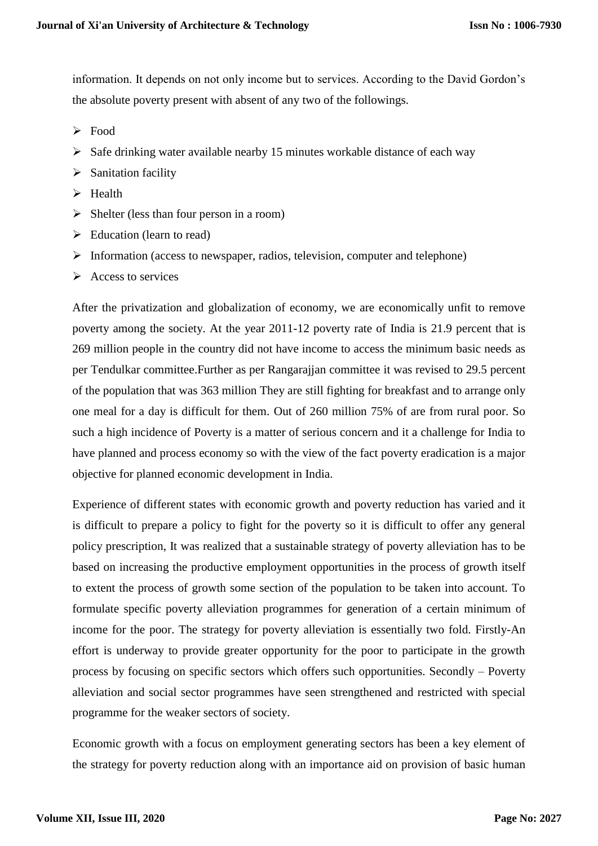information. It depends on not only income but to services. According to the David Gordon's the absolute poverty present with absent of any two of the followings.

- $\triangleright$  Food
- $\triangleright$  Safe drinking water available nearby 15 minutes workable distance of each way
- $\triangleright$  Sanitation facility
- $\triangleright$  Health
- $\triangleright$  Shelter (less than four person in a room)
- $\triangleright$  Education (learn to read)
- $\triangleright$  Information (access to newspaper, radios, television, computer and telephone)
- $\triangleright$  Access to services

After the privatization and globalization of economy, we are economically unfit to remove poverty among the society. At the year 2011-12 poverty rate of India is 21.9 percent that is 269 million people in the country did not have income to access the minimum basic needs as per Tendulkar committee.Further as per Rangarajjan committee it was revised to 29.5 percent of the population that was 363 million They are still fighting for breakfast and to arrange only one meal for a day is difficult for them. Out of 260 million 75% of are from rural poor. So such a high incidence of Poverty is a matter of serious concern and it a challenge for India to have planned and process economy so with the view of the fact poverty eradication is a major objective for planned economic development in India.

Experience of different states with economic growth and poverty reduction has varied and it is difficult to prepare a policy to fight for the poverty so it is difficult to offer any general policy prescription, It was realized that a sustainable strategy of poverty alleviation has to be based on increasing the productive employment opportunities in the process of growth itself to extent the process of growth some section of the population to be taken into account. To formulate specific poverty alleviation programmes for generation of a certain minimum of income for the poor. The strategy for poverty alleviation is essentially two fold. Firstly-An effort is underway to provide greater opportunity for the poor to participate in the growth process by focusing on specific sectors which offers such opportunities. Secondly – Poverty alleviation and social sector programmes have seen strengthened and restricted with special programme for the weaker sectors of society.

Economic growth with a focus on employment generating sectors has been a key element of the strategy for poverty reduction along with an importance aid on provision of basic human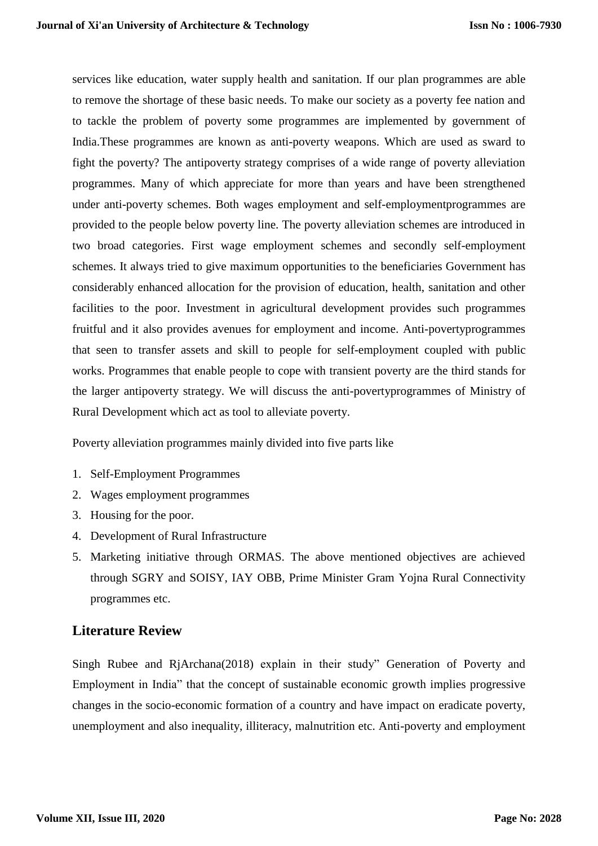services like education, water supply health and sanitation. If our plan programmes are able to remove the shortage of these basic needs. To make our society as a poverty fee nation and to tackle the problem of poverty some programmes are implemented by government of India.These programmes are known as anti-poverty weapons. Which are used as sward to fight the poverty? The antipoverty strategy comprises of a wide range of poverty alleviation programmes. Many of which appreciate for more than years and have been strengthened under anti-poverty schemes. Both wages employment and self-employmentprogrammes are provided to the people below poverty line. The poverty alleviation schemes are introduced in two broad categories. First wage employment schemes and secondly self-employment schemes. It always tried to give maximum opportunities to the beneficiaries Government has considerably enhanced allocation for the provision of education, health, sanitation and other facilities to the poor. Investment in agricultural development provides such programmes fruitful and it also provides avenues for employment and income. Anti-povertyprogrammes that seen to transfer assets and skill to people for self-employment coupled with public works. Programmes that enable people to cope with transient poverty are the third stands for the larger antipoverty strategy. We will discuss the anti-povertyprogrammes of Ministry of Rural Development which act as tool to alleviate poverty.

Poverty alleviation programmes mainly divided into five parts like

- 1. Self-Employment Programmes
- 2. Wages employment programmes
- 3. Housing for the poor.
- 4. Development of Rural Infrastructure
- 5. Marketing initiative through ORMAS. The above mentioned objectives are achieved through SGRY and SOISY, IAY OBB, Prime Minister Gram Yojna Rural Connectivity programmes etc.

#### **Literature Review**

Singh Rubee and RjArchana(2018) explain in their study" Generation of Poverty and Employment in India" that the concept of sustainable economic growth implies progressive changes in the socio-economic formation of a country and have impact on eradicate poverty, unemployment and also inequality, illiteracy, malnutrition etc. Anti-poverty and employment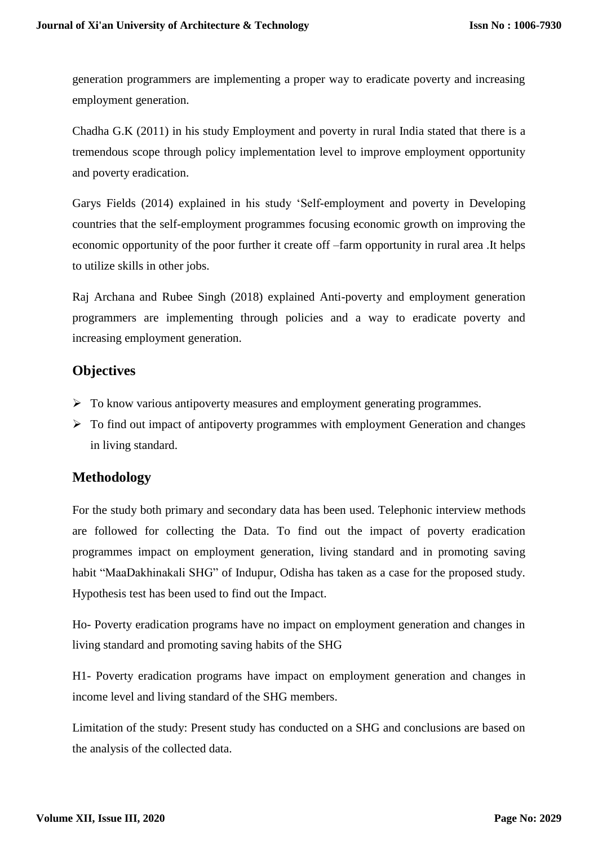generation programmers are implementing a proper way to eradicate poverty and increasing employment generation.

Chadha G.K (2011) in his study Employment and poverty in rural India stated that there is a tremendous scope through policy implementation level to improve employment opportunity and poverty eradication.

Garys Fields (2014) explained in his study 'Self-employment and poverty in Developing countries that the self-employment programmes focusing economic growth on improving the economic opportunity of the poor further it create off –farm opportunity in rural area .It helps to utilize skills in other jobs.

Raj Archana and Rubee Singh (2018) explained Anti-poverty and employment generation programmers are implementing through policies and a way to eradicate poverty and increasing employment generation.

#### **Objectives**

- $\triangleright$  To know various antipoverty measures and employment generating programmes.
- $\triangleright$  To find out impact of antipoverty programmes with employment Generation and changes in living standard.

#### **Methodology**

For the study both primary and secondary data has been used. Telephonic interview methods are followed for collecting the Data. To find out the impact of poverty eradication programmes impact on employment generation, living standard and in promoting saving habit "MaaDakhinakali SHG" of Indupur, Odisha has taken as a case for the proposed study. Hypothesis test has been used to find out the Impact.

Ho- Poverty eradication programs have no impact on employment generation and changes in living standard and promoting saving habits of the SHG

H1- Poverty eradication programs have impact on employment generation and changes in income level and living standard of the SHG members.

Limitation of the study: Present study has conducted on a SHG and conclusions are based on the analysis of the collected data.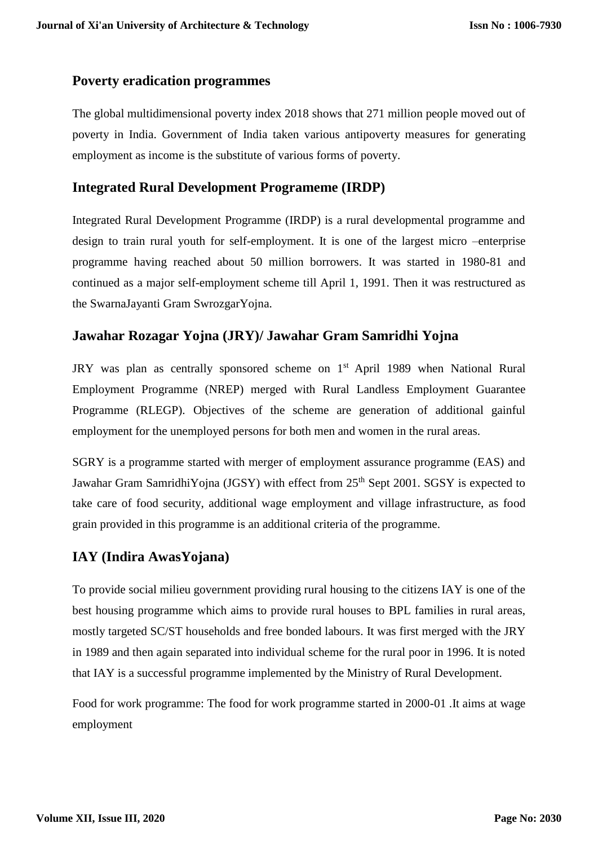#### **Poverty eradication programmes**

The global multidimensional poverty index 2018 shows that 271 million people moved out of poverty in India. Government of India taken various antipoverty measures for generating employment as income is the substitute of various forms of poverty.

#### **Integrated Rural Development Programeme (IRDP)**

Integrated Rural Development Programme (IRDP) is a rural developmental programme and design to train rural youth for self-employment. It is one of the largest micro –enterprise programme having reached about 50 million borrowers. It was started in 1980-81 and continued as a major self-employment scheme till April 1, 1991. Then it was restructured as the SwarnaJayanti Gram SwrozgarYojna.

#### **Jawahar Rozagar Yojna (JRY)/ Jawahar Gram Samridhi Yojna**

JRY was plan as centrally sponsored scheme on 1<sup>st</sup> April 1989 when National Rural Employment Programme (NREP) merged with Rural Landless Employment Guarantee Programme (RLEGP). Objectives of the scheme are generation of additional gainful employment for the unemployed persons for both men and women in the rural areas.

SGRY is a programme started with merger of employment assurance programme (EAS) and Jawahar Gram SamridhiYojna (JGSY) with effect from 25<sup>th</sup> Sept 2001. SGSY is expected to take care of food security, additional wage employment and village infrastructure, as food grain provided in this programme is an additional criteria of the programme.

#### **IAY (Indira AwasYojana)**

To provide social milieu government providing rural housing to the citizens IAY is one of the best housing programme which aims to provide rural houses to BPL families in rural areas, mostly targeted SC/ST households and free bonded labours. It was first merged with the JRY in 1989 and then again separated into individual scheme for the rural poor in 1996. It is noted that IAY is a successful programme implemented by the Ministry of Rural Development.

Food for work programme: The food for work programme started in 2000-01 .It aims at wage employment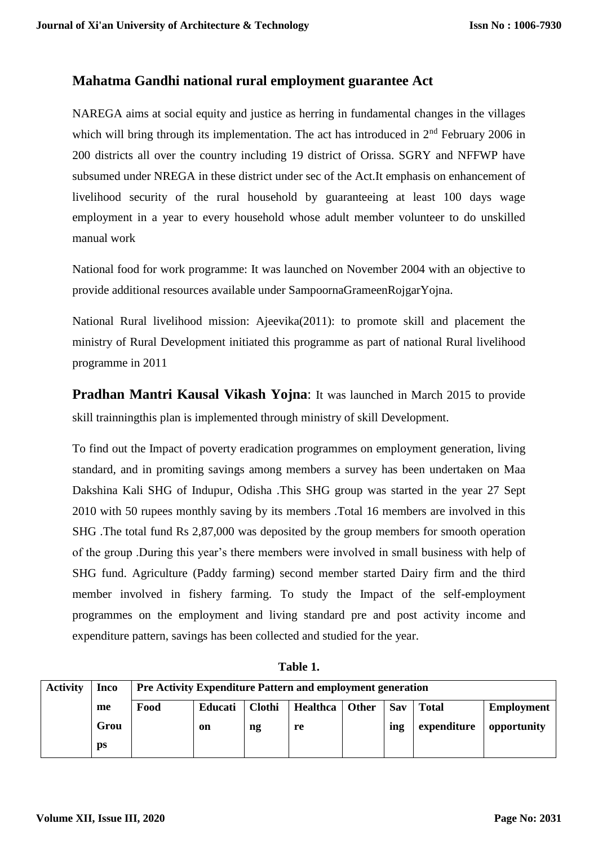#### **Mahatma Gandhi national rural employment guarantee Act**

NAREGA aims at social equity and justice as herring in fundamental changes in the villages which will bring through its implementation. The act has introduced in  $2<sup>nd</sup>$  February 2006 in 200 districts all over the country including 19 district of Orissa. SGRY and NFFWP have subsumed under NREGA in these district under sec of the Act.It emphasis on enhancement of livelihood security of the rural household by guaranteeing at least 100 days wage employment in a year to every household whose adult member volunteer to do unskilled manual work

National food for work programme: It was launched on November 2004 with an objective to provide additional resources available under SampoornaGrameenRojgarYojna.

National Rural livelihood mission: Ajeevika(2011): to promote skill and placement the ministry of Rural Development initiated this programme as part of national Rural livelihood programme in 2011

**Pradhan Mantri Kausal Vikash Yojna**: It was launched in March 2015 to provide skill trainningthis plan is implemented through ministry of skill Development.

To find out the Impact of poverty eradication programmes on employment generation, living standard, and in promiting savings among members a survey has been undertaken on Maa Dakshina Kali SHG of Indupur, Odisha .This SHG group was started in the year 27 Sept 2010 with 50 rupees monthly saving by its members .Total 16 members are involved in this SHG .The total fund Rs 2,87,000 was deposited by the group members for smooth operation of the group .During this year's there members were involved in small business with help of SHG fund. Agriculture (Paddy farming) second member started Dairy firm and the third member involved in fishery farming. To study the Impact of the self-employment programmes on the employment and living standard pre and post activity income and expenditure pattern, savings has been collected and studied for the year.

| <b>Activity</b> | Inco | Pre Activity Expenditure Pattern and employment generation                                                             |    |    |    |  |     |             |             |
|-----------------|------|------------------------------------------------------------------------------------------------------------------------|----|----|----|--|-----|-------------|-------------|
|                 | me   | <b>Clothi</b><br><b>Educati</b><br><b>Healthca</b><br><b>Other</b><br>Food<br>Sav<br><b>Employment</b><br><b>Total</b> |    |    |    |  |     |             |             |
|                 | Grou |                                                                                                                        | on | ng | re |  | ing | expenditure | opportunity |
|                 | ps   |                                                                                                                        |    |    |    |  |     |             |             |

**Table 1.**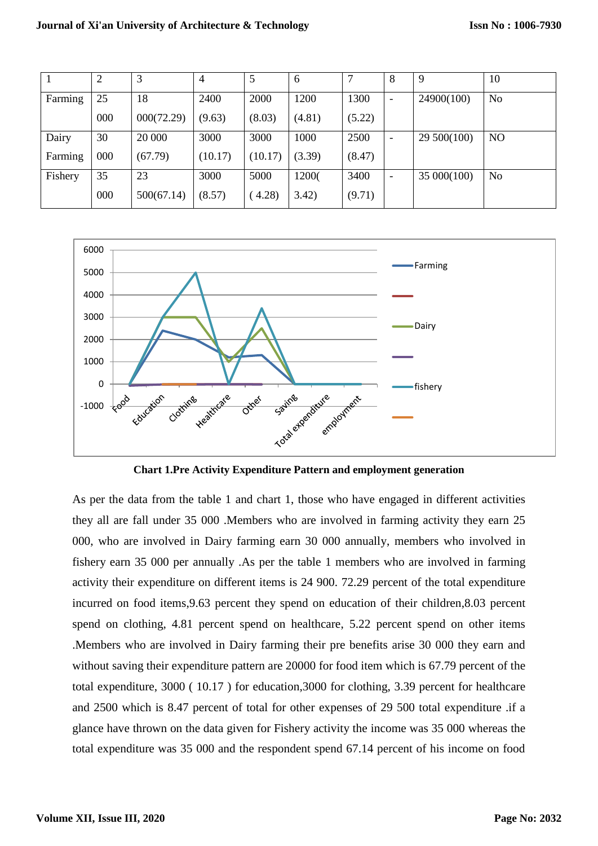|         | $\overline{2}$ | 3          | 4       | 5       | 6      |        | 8                        | 9           | 10             |
|---------|----------------|------------|---------|---------|--------|--------|--------------------------|-------------|----------------|
| Farming | 25             | 18         | 2400    | 2000    | 1200   | 1300   | $\overline{\phantom{a}}$ | 24900(100)  | No             |
|         | 000            | 000(72.29) | (9.63)  | (8.03)  | (4.81) | (5.22) |                          |             |                |
| Dairy   | 30             | 20 000     | 3000    | 3000    | 1000   | 2500   | $\overline{\phantom{a}}$ | 29 500(100) | N <sub>O</sub> |
| Farming | 000            | (67.79)    | (10.17) | (10.17) | (3.39) | (8.47) |                          |             |                |
| Fishery | 35             | 23         | 3000    | 5000    | 12000  | 3400   | $\overline{\phantom{a}}$ | 35 000(100) | No             |
|         | 000            | 500(67.14) | (8.57)  | 4.28    | 3.42)  | (9.71) |                          |             |                |



**Chart 1.Pre Activity Expenditure Pattern and employment generation**

As per the data from the table 1 and chart 1, those who have engaged in different activities they all are fall under 35 000 .Members who are involved in farming activity they earn 25 000, who are involved in Dairy farming earn 30 000 annually, members who involved in fishery earn 35 000 per annually .As per the table 1 members who are involved in farming activity their expenditure on different items is 24 900. 72.29 percent of the total expenditure incurred on food items,9.63 percent they spend on education of their children,8.03 percent spend on clothing, 4.81 percent spend on healthcare, 5.22 percent spend on other items .Members who are involved in Dairy farming their pre benefits arise 30 000 they earn and without saving their expenditure pattern are 20000 for food item which is 67.79 percent of the total expenditure, 3000 ( 10.17 ) for education,3000 for clothing, 3.39 percent for healthcare and 2500 which is 8.47 percent of total for other expenses of 29 500 total expenditure .if a glance have thrown on the data given for Fishery activity the income was 35 000 whereas the total expenditure was 35 000 and the respondent spend 67.14 percent of his income on food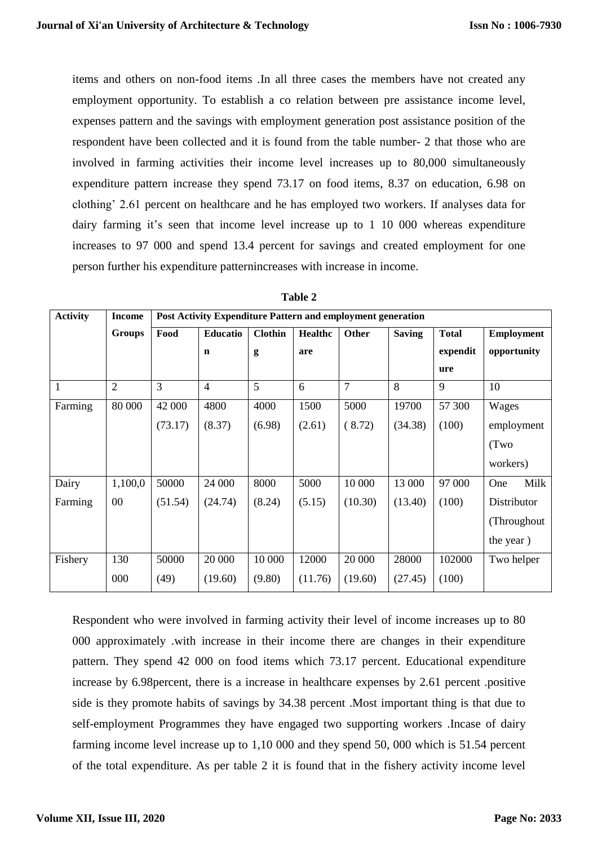items and others on non-food items .In all three cases the members have not created any employment opportunity. To establish a co relation between pre assistance income level, expenses pattern and the savings with employment generation post assistance position of the respondent have been collected and it is found from the table number- 2 that those who are involved in farming activities their income level increases up to 80,000 simultaneously expenditure pattern increase they spend 73.17 on food items, 8.37 on education, 6.98 on clothing' 2.61 percent on healthcare and he has employed two workers. If analyses data for dairy farming it's seen that income level increase up to 1 10 000 whereas expenditure increases to 97 000 and spend 13.4 percent for savings and created employment for one person further his expenditure patternincreases with increase in income.

| <b>Activity</b> | <b>Income</b>  | <b>Post Activity Expenditure Pattern and employment generation</b> |                |                |                |                |               |              |                   |
|-----------------|----------------|--------------------------------------------------------------------|----------------|----------------|----------------|----------------|---------------|--------------|-------------------|
|                 | <b>Groups</b>  | Food                                                               | Educatio       | <b>Clothin</b> | <b>Healthc</b> | Other          | <b>Saving</b> | <b>Total</b> | <b>Employment</b> |
|                 |                |                                                                    | $\mathbf n$    | g              | are            |                |               | expendit     | opportunity       |
|                 |                |                                                                    |                |                |                |                |               | ure          |                   |
|                 | $\overline{2}$ | 3                                                                  | $\overline{4}$ | 5              | 6              | $\overline{7}$ | 8             | 9            | 10                |
| Farming         | 80 000         | 42 000                                                             | 4800           | 4000           | 1500           | 5000           | 19700         | 57 300       | Wages             |
|                 |                | (73.17)                                                            | (8.37)         | (6.98)         | (2.61)         | (8.72)         | (34.38)       | (100)        | employment        |
|                 |                |                                                                    |                |                |                |                |               |              | (Two              |
|                 |                |                                                                    |                |                |                |                |               |              | workers)          |
| Dairy           | 1,100,0        | 50000                                                              | 24 000         | 8000           | 5000           | 10 000         | 13 000        | 97 000       | Milk<br>One       |
| Farming         | 00             | (51.54)                                                            | (24.74)        | (8.24)         | (5.15)         | (10.30)        | (13.40)       | (100)        | Distributor       |
|                 |                |                                                                    |                |                |                |                |               |              | (Throughout       |
|                 |                |                                                                    |                |                |                |                |               |              | the year)         |
| Fishery         | 130            | 50000                                                              | 20 000         | 10 000         | 12000          | 20 000         | 28000         | 102000       | Two helper        |
|                 | 000            | (49)                                                               | (19.60)        | (9.80)         | (11.76)        | (19.60)        | (27.45)       | (100)        |                   |

| ۱<br>ı<br>Ш |  |
|-------------|--|
|-------------|--|

Respondent who were involved in farming activity their level of income increases up to 80 000 approximately .with increase in their income there are changes in their expenditure pattern. They spend 42 000 on food items which 73.17 percent. Educational expenditure increase by 6.98percent, there is a increase in healthcare expenses by 2.61 percent .positive side is they promote habits of savings by 34.38 percent .Most important thing is that due to self-employment Programmes they have engaged two supporting workers .Incase of dairy farming income level increase up to 1,10 000 and they spend 50, 000 which is 51.54 percent of the total expenditure. As per table 2 it is found that in the fishery activity income level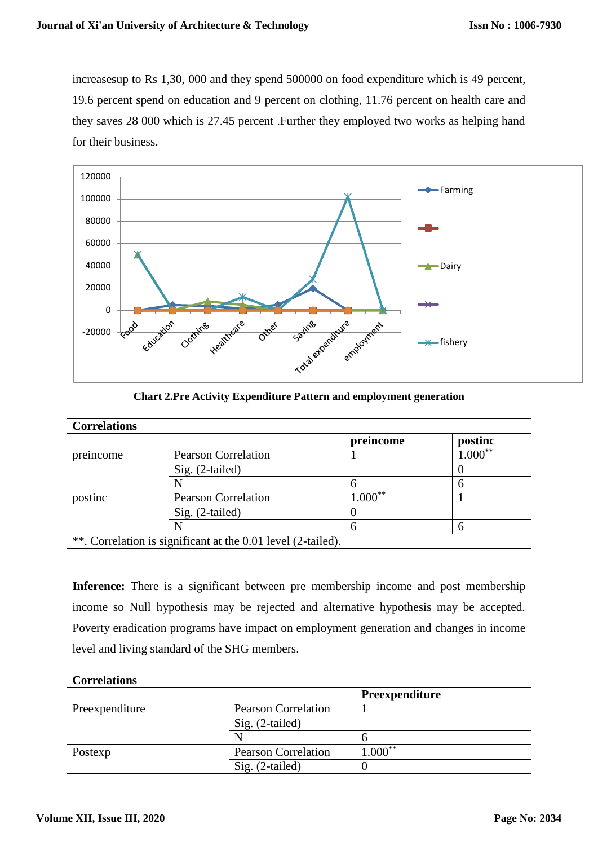increasesup to Rs 1,30, 000 and they spend 500000 on food expenditure which is 49 percent, 19.6 percent spend on education and 9 percent on clothing, 11.76 percent on health care and they saves 28 000 which is 27.45 percent .Further they employed two works as helping hand for their business.



**Chart 2.Pre Activity Expenditure Pattern and employment generation**

| <b>Correlations</b> |                                                              |            |                         |
|---------------------|--------------------------------------------------------------|------------|-------------------------|
|                     |                                                              | preincome  | postinc                 |
| preincome           | <b>Pearson Correlation</b>                                   |            | $1.\overline{000}^{**}$ |
|                     | Sig. (2-tailed)                                              |            |                         |
|                     |                                                              | 6          |                         |
| postinc             | <b>Pearson Correlation</b>                                   | $1.000***$ |                         |
|                     | $Sig. (2-tailed)$                                            |            |                         |
|                     |                                                              | 6          |                         |
|                     | **. Correlation is significant at the 0.01 level (2-tailed). |            |                         |

**Inference:** There is a significant between pre membership income and post membership income so Null hypothesis may be rejected and alternative hypothesis may be accepted. Poverty eradication programs have impact on employment generation and changes in income level and living standard of the SHG members.

| <b>Correlations</b> |                            |                |
|---------------------|----------------------------|----------------|
|                     |                            | Preexpenditure |
| Preexpenditure      | <b>Pearson Correlation</b> |                |
|                     | Sig. (2-tailed)            |                |
|                     | N                          |                |
| Postexp             | <b>Pearson Correlation</b> | $1.000***$     |
|                     | Sig. (2-tailed)            |                |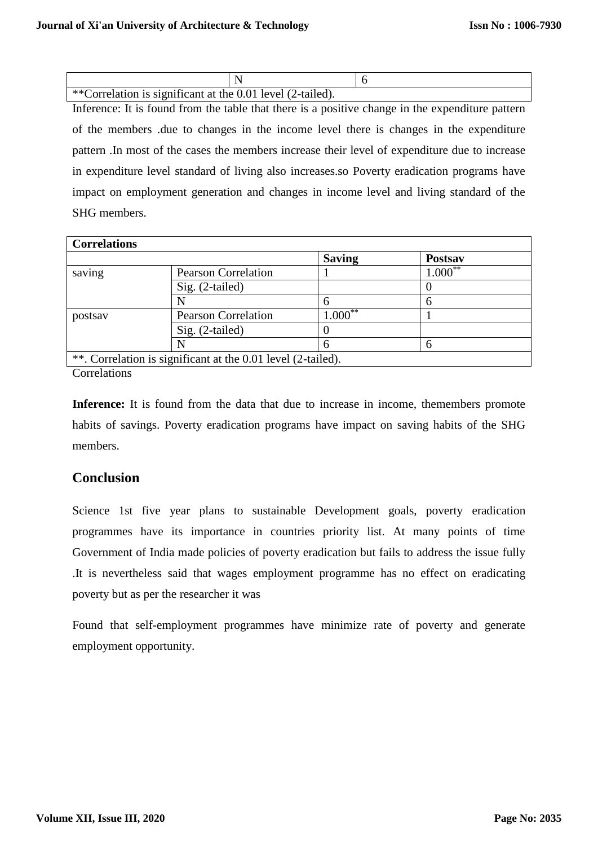| **Correlation is significant at the 0.01 level (2-tailed). |  |
|------------------------------------------------------------|--|

Inference: It is found from the table that there is a positive change in the expenditure pattern of the members .due to changes in the income level there is changes in the expenditure pattern .In most of the cases the members increase their level of expenditure due to increase in expenditure level standard of living also increases.so Poverty eradication programs have impact on employment generation and changes in income level and living standard of the SHG members.

| <b>Correlations</b> |                                                              |               |                |
|---------------------|--------------------------------------------------------------|---------------|----------------|
|                     |                                                              | <b>Saving</b> | <b>Postsay</b> |
| saving              | <b>Pearson Correlation</b>                                   |               | $1.000***$     |
|                     | Sig. (2-tailed)                                              |               |                |
|                     |                                                              | 6             | 6              |
| postsav             | <b>Pearson Correlation</b>                                   | $1.000**$     |                |
|                     | $Sig. (2-tailed)$                                            |               |                |
|                     | N                                                            | 6             | 6              |
|                     | **. Correlation is significant at the 0.01 level (2-tailed). |               |                |

Correlations

**Inference:** It is found from the data that due to increase in income, themembers promote habits of savings. Poverty eradication programs have impact on saving habits of the SHG members.

#### **Conclusion**

Science 1st five year plans to sustainable Development goals, poverty eradication programmes have its importance in countries priority list. At many points of time Government of India made policies of poverty eradication but fails to address the issue fully .It is nevertheless said that wages employment programme has no effect on eradicating poverty but as per the researcher it was

Found that self-employment programmes have minimize rate of poverty and generate employment opportunity.